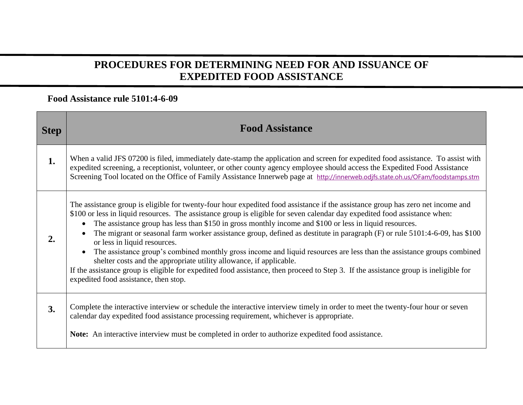## **PROCEDURES FOR DETERMINING NEED FOR AND ISSUANCE OF EXPEDITED FOOD ASSISTANCE**

## **Food Assistance rule 5101:4-6-09**

| <b>Step</b> | <b>Food Assistance</b>                                                                                                                                                                                                                                                                                                                                                                                                                                                                                                                                                                                                                                                                                                                                                                                                                                                                                                                             |
|-------------|----------------------------------------------------------------------------------------------------------------------------------------------------------------------------------------------------------------------------------------------------------------------------------------------------------------------------------------------------------------------------------------------------------------------------------------------------------------------------------------------------------------------------------------------------------------------------------------------------------------------------------------------------------------------------------------------------------------------------------------------------------------------------------------------------------------------------------------------------------------------------------------------------------------------------------------------------|
| 1.          | When a valid JFS 07200 is filed, immediately date-stamp the application and screen for expedited food assistance. To assist with<br>expedited screening, a receptionist, volunteer, or other county agency employee should access the Expedited Food Assistance<br>Screening Tool located on the Office of Family Assistance Innerweb page at http://innerweb.odifs.state.oh.us/OFam/foodstamps.stm                                                                                                                                                                                                                                                                                                                                                                                                                                                                                                                                                |
| 2.          | The assistance group is eligible for twenty-four hour expedited food assistance if the assistance group has zero net income and<br>\$100 or less in liquid resources. The assistance group is eligible for seven calendar day expedited food assistance when:<br>The assistance group has less than \$150 in gross monthly income and \$100 or less in liquid resources.<br>The migrant or seasonal farm worker assistance group, defined as destitute in paragraph (F) or rule 5101:4-6-09, has \$100<br>$\bullet$<br>or less in liquid resources.<br>The assistance group's combined monthly gross income and liquid resources are less than the assistance groups combined<br>$\bullet$<br>shelter costs and the appropriate utility allowance, if applicable.<br>If the assistance group is eligible for expedited food assistance, then proceed to Step 3. If the assistance group is ineligible for<br>expedited food assistance, then stop. |
| 3.          | Complete the interactive interview or schedule the interactive interview timely in order to meet the twenty-four hour or seven<br>calendar day expedited food assistance processing requirement, whichever is appropriate.                                                                                                                                                                                                                                                                                                                                                                                                                                                                                                                                                                                                                                                                                                                         |
|             | <b>Note:</b> An interactive interview must be completed in order to authorize expedited food assistance.                                                                                                                                                                                                                                                                                                                                                                                                                                                                                                                                                                                                                                                                                                                                                                                                                                           |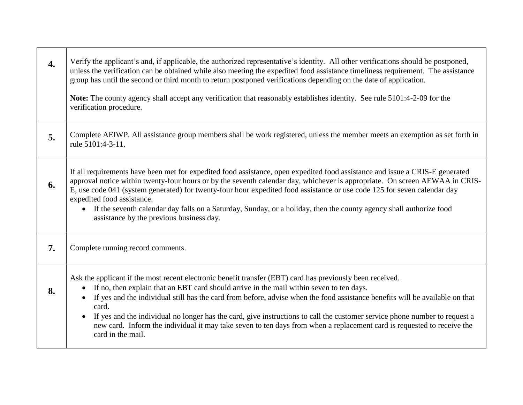| 4. | Verify the applicant's and, if applicable, the authorized representative's identity. All other verifications should be postponed,<br>unless the verification can be obtained while also meeting the expedited food assistance timeliness requirement. The assistance<br>group has until the second or third month to return postponed verifications depending on the date of application.<br>Note: The county agency shall accept any verification that reasonably establishes identity. See rule 5101:4-2-09 for the<br>verification procedure.                                                                                                                   |
|----|--------------------------------------------------------------------------------------------------------------------------------------------------------------------------------------------------------------------------------------------------------------------------------------------------------------------------------------------------------------------------------------------------------------------------------------------------------------------------------------------------------------------------------------------------------------------------------------------------------------------------------------------------------------------|
| 5. | Complete AEIWP. All assistance group members shall be work registered, unless the member meets an exemption as set forth in<br>rule 5101:4-3-11.                                                                                                                                                                                                                                                                                                                                                                                                                                                                                                                   |
| 6. | If all requirements have been met for expedited food assistance, open expedited food assistance and issue a CRIS-E generated<br>approval notice within twenty-four hours or by the seventh calendar day, whichever is appropriate. On screen AEWAA in CRIS-<br>E, use code 041 (system generated) for twenty-four hour expedited food assistance or use code 125 for seven calendar day<br>expedited food assistance.<br>• If the seventh calendar day falls on a Saturday, Sunday, or a holiday, then the county agency shall authorize food<br>assistance by the previous business day.                                                                          |
| 7. | Complete running record comments.                                                                                                                                                                                                                                                                                                                                                                                                                                                                                                                                                                                                                                  |
| 8. | Ask the applicant if the most recent electronic benefit transfer (EBT) card has previously been received.<br>If no, then explain that an EBT card should arrive in the mail within seven to ten days.<br>$\bullet$<br>If yes and the individual still has the card from before, advise when the food assistance benefits will be available on that<br>$\bullet$<br>card.<br>If yes and the individual no longer has the card, give instructions to call the customer service phone number to request a<br>$\bullet$<br>new card. Inform the individual it may take seven to ten days from when a replacement card is requested to receive the<br>card in the mail. |